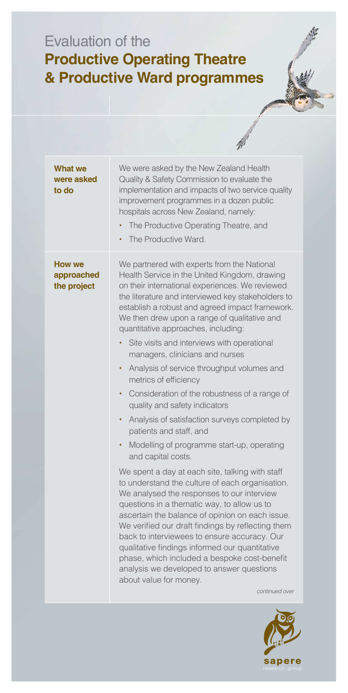## Evaluation of the **Productive Operating Theatre & Productive Ward programmes**

| <b>What we</b><br>were asked<br>to do | We were asked by the New Zealand Health<br>Quality & Safety Commission to evaluate the<br>implementation and impacts of two service quality<br>improvement programmes in a dozen public<br>hospitals across New Zealand, namely:<br>The Productive Operating Theatre, and<br>The Productive Ward.<br>٠                                                                                                                                                                                                                                                                                                                                                                                                                                                                                                                                                                                                                                                                                                                                                                                                                                                                                                                                                                                                                            |
|---------------------------------------|-----------------------------------------------------------------------------------------------------------------------------------------------------------------------------------------------------------------------------------------------------------------------------------------------------------------------------------------------------------------------------------------------------------------------------------------------------------------------------------------------------------------------------------------------------------------------------------------------------------------------------------------------------------------------------------------------------------------------------------------------------------------------------------------------------------------------------------------------------------------------------------------------------------------------------------------------------------------------------------------------------------------------------------------------------------------------------------------------------------------------------------------------------------------------------------------------------------------------------------------------------------------------------------------------------------------------------------|
| How we<br>approached<br>the project   | We partnered with experts from the National<br>Health Service in the United Kingdom, drawing<br>on their international experiences. We reviewed<br>the literature and interviewed key stakeholders to<br>establish a robust and agreed impact framework.<br>We then drew upon a range of qualitative and<br>quantitative approaches, including:<br>Site visits and interviews with operational<br>٠<br>managers, clinicians and nurses<br>Analysis of service throughput volumes and<br>٠<br>metrics of efficiency<br>Consideration of the robustness of a range of<br>٠<br>quality and safety indicators<br>Analysis of satisfaction surveys completed by<br>$\bullet$<br>patients and staff, and<br>Modelling of programme start-up, operating<br>٠<br>and capital costs.<br>We spent a day at each site, talking with staff<br>to understand the culture of each organisation.<br>We analysed the responses to our interview<br>questions in a thematic way, to allow us to<br>ascertain the balance of opinion on each issue.<br>We verified our draft findings by reflecting them<br>back to interviewees to ensure accuracy. Our<br>qualitative findings informed our quantitative<br>phase, which included a bespoke cost-benefit<br>analysis we developed to answer questions<br>about value for money.<br>continued over |